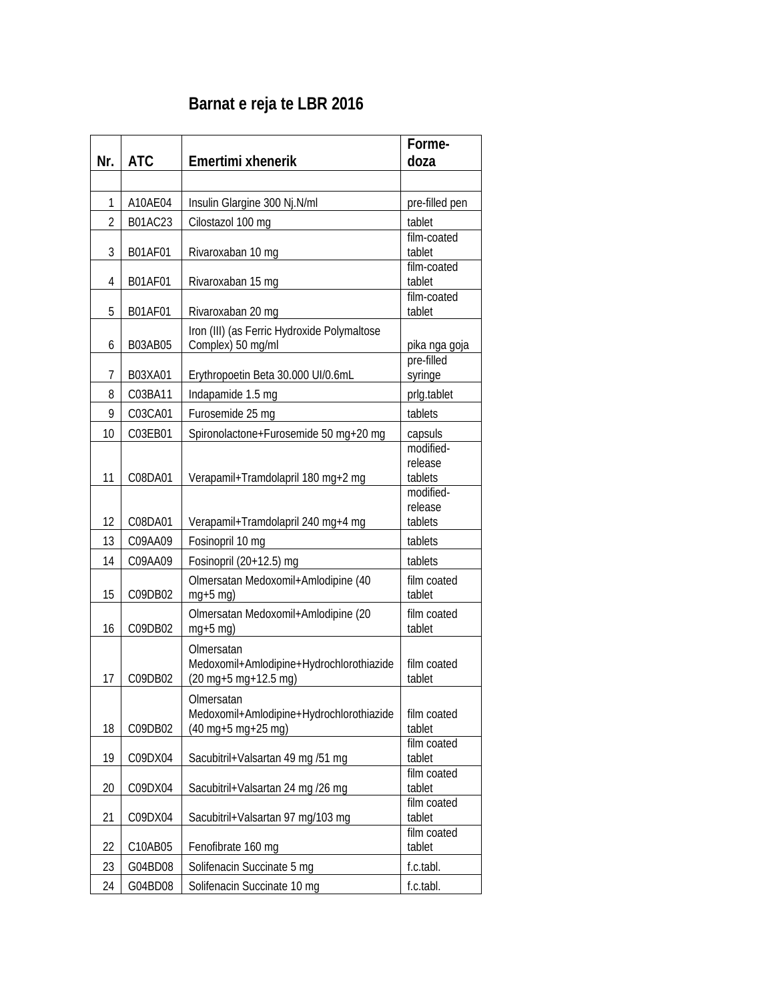## **Barnat e reja te LBR 2016**

| Nr.            | <b>ATC</b> | Emertimi xhenerik                                                                                          | Forme-<br>doza                  |
|----------------|------------|------------------------------------------------------------------------------------------------------------|---------------------------------|
|                |            |                                                                                                            |                                 |
| 1              | A10AE04    | Insulin Glargine 300 Nj. N/ml                                                                              | pre-filled pen                  |
| $\overline{2}$ | B01AC23    | Cilostazol 100 mg                                                                                          | tablet                          |
| 3              | B01AF01    | Rivaroxaban 10 mg                                                                                          | film-coated<br>tablet           |
| 4              | B01AF01    | Rivaroxaban 15 mg                                                                                          | film-coated<br>tablet           |
| 5              | B01AF01    | Rivaroxaban 20 mg                                                                                          | film-coated<br>tablet           |
| 6              | B03AB05    | Iron (III) (as Ferric Hydroxide Polymaltose<br>Complex) 50 mg/ml                                           | pika nga goja                   |
| 7              | B03XA01    | Erythropoetin Beta 30.000 UI/0.6mL                                                                         | pre-filled<br>syringe           |
| 8              | C03BA11    | Indapamide 1.5 mg                                                                                          | prlg.tablet                     |
| 9              | C03CA01    | Furosemide 25 mg                                                                                           | tablets                         |
| 10             | C03EB01    | Spironolactone+Furosemide 50 mg+20 mg                                                                      | capsuls                         |
| 11             | C08DA01    | Verapamil+Tramdolapril 180 mg+2 mg                                                                         | modified-<br>release<br>tablets |
| 12             | C08DA01    | Verapamil+Tramdolapril 240 mg+4 mg                                                                         | modified-<br>release<br>tablets |
| 13             | C09AA09    | Fosinopril 10 mg                                                                                           | tablets                         |
| 14             | C09AA09    | Fosinopril (20+12.5) mg                                                                                    | tablets                         |
| 15             | C09DB02    | Olmersatan Medoxomil+Amlodipine (40<br>$mg+5$ mg)                                                          | film coated<br>tablet           |
| 16             | C09DB02    | Olmersatan Medoxomil+Amlodipine (20<br>$mg+5$ mg)                                                          | film coated<br>tablet           |
| 17             | C09DB02    | Olmersatan<br>Medoxomil+Amlodipine+Hydrochlorothiazide<br>(20 mg+5 mg+12.5 mg)                             | film coated<br>tablet           |
| 18             | C09DB02    | Olmersatan<br>Medoxomil+Amlodipine+Hydrochlorothiazide<br>$(40 \text{ mg} + 5 \text{ mg} + 25 \text{ mg})$ | film coated<br>tablet           |
| 19             | C09DX04    | Sacubitril+Valsartan 49 mg /51 mg                                                                          | film coated<br>tablet           |
| 20             | C09DX04    | Sacubitril+Valsartan 24 mg /26 mg                                                                          | film coated<br>tablet           |
| 21             | C09DX04    | Sacubitril+Valsartan 97 mg/103 mg                                                                          | film coated<br>tablet           |
| 22             | C10AB05    | Fenofibrate 160 mg                                                                                         | film coated<br>tablet           |
| 23             | G04BD08    | Solifenacin Succinate 5 mg                                                                                 | f.c.tabl.                       |
| 24             | G04BD08    | Solifenacin Succinate 10 mg                                                                                | f.c.tabl.                       |